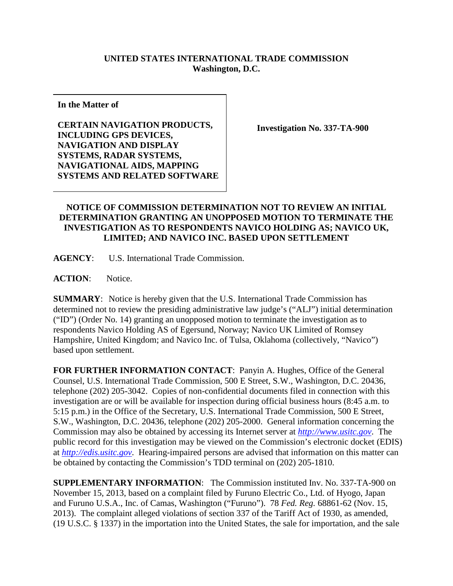## **UNITED STATES INTERNATIONAL TRADE COMMISSION Washington, D.C.**

**In the Matter of**

**CERTAIN NAVIGATION PRODUCTS, INCLUDING GPS DEVICES, NAVIGATION AND DISPLAY SYSTEMS, RADAR SYSTEMS, NAVIGATIONAL AIDS, MAPPING SYSTEMS AND RELATED SOFTWARE**

**Investigation No. 337-TA-900**

## **NOTICE OF COMMISSION DETERMINATION NOT TO REVIEW AN INITIAL DETERMINATION GRANTING AN UNOPPOSED MOTION TO TERMINATE THE INVESTIGATION AS TO RESPONDENTS NAVICO HOLDING AS; NAVICO UK, LIMITED; AND NAVICO INC. BASED UPON SETTLEMENT**

**AGENCY**: U.S. International Trade Commission.

**ACTION**: Notice.

**SUMMARY**: Notice is hereby given that the U.S. International Trade Commission has determined not to review the presiding administrative law judge's ("ALJ") initial determination ("ID") (Order No. 14) granting an unopposed motion to terminate the investigation as to respondents Navico Holding AS of Egersund, Norway; Navico UK Limited of Romsey Hampshire, United Kingdom; and Navico Inc. of Tulsa, Oklahoma (collectively, "Navico") based upon settlement.

**FOR FURTHER INFORMATION CONTACT**: Panyin A. Hughes, Office of the General Counsel, U.S. International Trade Commission, 500 E Street, S.W., Washington, D.C. 20436, telephone (202) 205-3042. Copies of non-confidential documents filed in connection with this investigation are or will be available for inspection during official business hours (8:45 a.m. to 5:15 p.m.) in the Office of the Secretary, U.S. International Trade Commission, 500 E Street, S.W., Washington, D.C. 20436, telephone (202) 205-2000. General information concerning the Commission may also be obtained by accessing its Internet server at *[http://www.usitc.gov](http://www.usitc.gov/)*. The public record for this investigation may be viewed on the Commission's electronic docket (EDIS) at *[http://edis.usitc.gov](http://edis.usitc.gov/)*. Hearing-impaired persons are advised that information on this matter can be obtained by contacting the Commission's TDD terminal on (202) 205-1810.

**SUPPLEMENTARY INFORMATION**: The Commission instituted Inv. No. 337-TA-900 on November 15, 2013, based on a complaint filed by Furuno Electric Co., Ltd. of Hyogo, Japan and Furuno U.S.A., Inc. of Camas, Washington ("Furuno"). 78 *Fed. Reg.* 68861-62 (Nov. 15, 2013). The complaint alleged violations of section 337 of the Tariff Act of 1930, as amended, (19 U.S.C. § 1337) in the importation into the United States, the sale for importation, and the sale